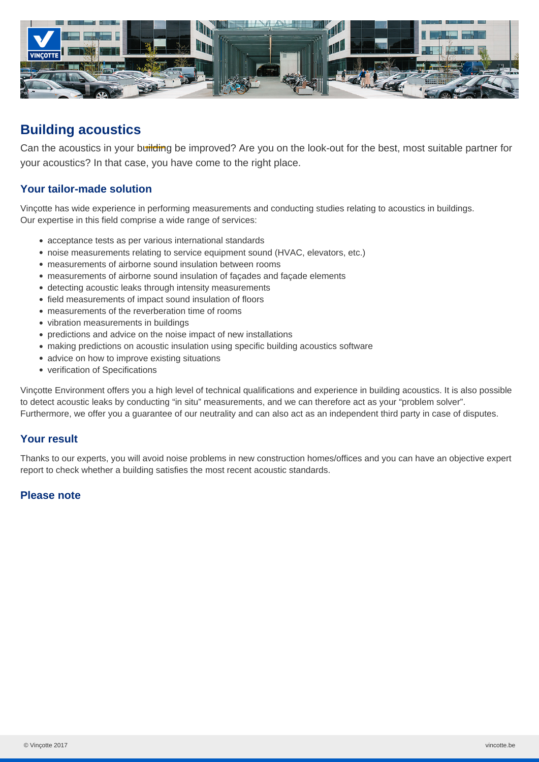

# **Building acoustics**

Can the acoustics in your building be improved? Are you on the look-out for the best, most suitable partner for your acoustics? In that case, you have come to the right place.

## **Your tailor-made solution**

Vinçotte has wide experience in performing measurements and conducting studies relating to acoustics in buildings. Our expertise in this field comprise a wide range of services:

- acceptance tests as per various international standards
- noise measurements relating to service equipment sound (HVAC, elevators, etc.)
- measurements of airborne sound insulation between rooms
- measurements of airborne sound insulation of façades and façade elements
- detecting acoustic leaks through intensity measurements
- field measurements of impact sound insulation of floors
- measurements of the reverberation time of rooms
- vibration measurements in buildings
- predictions and advice on the noise impact of new installations
- making predictions on acoustic insulation using specific building acoustics software
- advice on how to improve existing situations
- verification of Specifications

Vinçotte Environment offers you a high level of technical qualifications and experience in building acoustics. It is also possible to detect acoustic leaks by conducting "in situ" measurements, and we can therefore act as your "problem solver". Furthermore, we offer you a guarantee of our neutrality and can also act as an independent third party in case of disputes.

#### **Your result**

Thanks to our experts, you will avoid noise problems in new construction homes/offices and you can have an objective expert report to check whether a building satisfies the most recent acoustic standards.

#### **Please note**